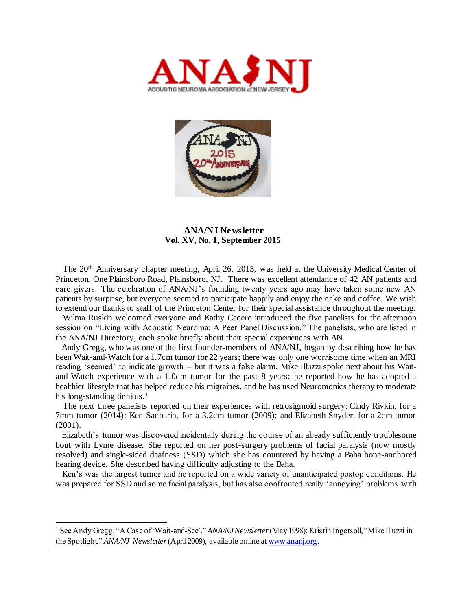



### **ANA/NJ Newsletter Vol. XV, No. 1, September 2015**

 The 20th Anniversary chapter meeting, April 26, 2015, was held at the University Medical Center of Princeton, One Plainsboro Road, Plainsboro, NJ. There was excellent attendance of 42 AN patients and care givers. The celebration of ANA/NJ's founding twenty years ago may have taken some new AN patients by surprise, but everyone seemed to participate happily and enjoy the cake and coffee. We wish to extend our thanks to staff of the Princeton Center for their special assistance throughout the meeting.

 Wilma Ruskin welcomed everyone and Kathy Cecere introduced the five panelists for the afternoon session on "Living with Acoustic Neuroma: A Peer Panel Discussion." The panelists, who are listed in the ANA/NJ Directory, each spoke briefly about their special experiences with AN.

 Andy Gregg, who was one of the first founder-members of ANA/NJ, began by describing how he has been Wait-and-Watch for a 1.7cm tumor for 22 years; there was only one worrisome time when an MRI reading 'seemed' to indicate growth – but it was a false alarm. Mike Illuzzi spoke next about his Waitand-Watch experience with a 1.0cm tumor for the past 8 years; he reported how he has adopted a healthier lifestyle that has helped reduce his migraines, and he has used Neuromonics therapy to moderate his long-standing tinnitus.<sup>1</sup>

 The next three panelists reported on their experiences with retrosigmoid surgery: Cindy Rivkin, for a 7mm tumor (2014); Ken Sacharin, for a 3.2cm tumor (2009); and Elizabeth Snyder, for a 2cm tumor (2001).

 Elizabeth's tumor was discovered incidentally during the course of an already sufficiently troublesome bout with Lyme disease. She reported on her post-surgery problems of facial paralysis (now mostly resolved) and single-sided deafness (SSD) which she has countered by having a Baha bone-anchored hearing device. She described having difficulty adjusting to the Baha.

 Ken's was the largest tumor and he reported on a wide variety of unanticipated postop conditions. He was prepared for SSD and some facial paralysis, but has also confronted really 'annoying' problems with

<sup>1</sup> See Andy Gregg, "A Case of 'Wait-and-See'," *ANA/NJ Newsletter*(May 1998); Kristin Ingersoll, "Mike Illuzzi in the Spotlight," *ANA/NJ Newsletter*(April 2009), available online a[t www.ananj.org](http://www.ananj.org/).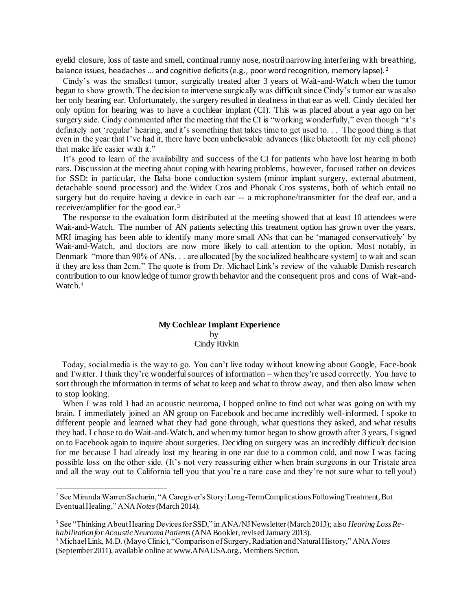eyelid closure, loss of taste and smell, continual runny nose, nostril narrowing interfering with breathing, balance issues, headaches ... and cognitive deficits (e.g., poor word recognition, memory lapse).<sup>2</sup>

 Cindy's was the smallest tumor, surgically treated after 3 years of Wait-and-Watch when the tumor began to show growth. The decision to intervene surgically was difficult since Cindy's tumor ear was also her only hearing ear. Unfortunately, the surgery resulted in deafness in that ear as well. Cindy decided her only option for hearing was to have a cochlear implant (CI). This was placed about a year ago on her surgery side. Cindy commented after the meeting that the CI is "working wonderfully," even though "it's definitely not 'regular' hearing, and it's something that takes time to get used to. . . The good thing is that even in the year that I've had it, there have been unbelievable advances (like bluetooth for my cell phone) that make life easier with it."

 It's good to learn of the availability and success of the CI for patients who have lost hearing in both ears. Discussion at the meeting about coping with hearing problems, however, focused rather on devices for SSD: in particular, the Baha bone conduction system (minor implant surgery, external abutment, detachable sound processor) and the Widex Cros and Phonak Cros systems, both of which entail no surgery but do require having a device in each ear -- a microphone/transmitter for the deaf ear, and a receiver/amplifier for the good ear.<sup>3</sup>

 The response to the evaluation form distributed at the meeting showed that at least 10 attendees were Wait-and-Watch. The number of AN patients selecting this treatment option has grown over the years. MRI imaging has been able to identify many more small ANs that can be 'managed conservatively' by Wait-and-Watch, and doctors are now more likely to call attention to the option. Most notably, in Denmark "more than 90% of ANs. . . are allocated [by the socialized healthcare system] to wait and scan if they are less than 2cm." The quote is from Dr. Michael Link's review of the valuable Danish research contribution to our knowledge of tumor growth behavior and the consequent pros and cons of Wait-and-Watch.<sup>4</sup>

#### **My Cochlear Implant Experience by** Cindy Rivkin

 Today, social media is the way to go. You can't live today without knowing about Google, Face-book and Twitter. I think they're wonderful sources of information – when they're used correctly. You have to sort through the information in terms of what to keep and what to throw away, and then also know when to stop looking.

When I was told I had an acoustic neuroma, I hopped online to find out what was going on with my brain. I immediately joined an AN group on Facebook and became incredibly well-informed. I spoke to different people and learned what they had gone through, what questions they asked, and what results they had. I chose to do Wait-and-Watch, and when my tumor began to show growth after 3 years, I signed on to Facebook again to inquire about surgeries. Deciding on surgery was an incredibly difficult decision for me because I had already lost my hearing in one ear due to a common cold, and now I was facing possible loss on the other side. (It's not very reassuring either when brain surgeons in our Tristate area and all the way out to California tell you that you're a rare case and they're not sure what to tell you!)

<sup>&</sup>lt;sup>2</sup> See Miranda Warren Sacharin, "A Caregiver's Story: Long-Term Complications Following Treatment, But Eventual Healing," ANA *Notes*(March 2014).

<sup>3</sup> See "Thinking About Hearing Devices for SSD," in ANA/NJ Newsletter (March 2013); also *Hearing Loss Rehabilitation for Acoustic Neuroma Patients*(ANA Booklet, revised January 2013).

<sup>4</sup> Michael Link, M.D. (Mayo Clinic), "Comparison of Surgery, Radiation and Natural History," ANA *Notes*  (September 2011), available online at www.ANAUSA.org., Members Section.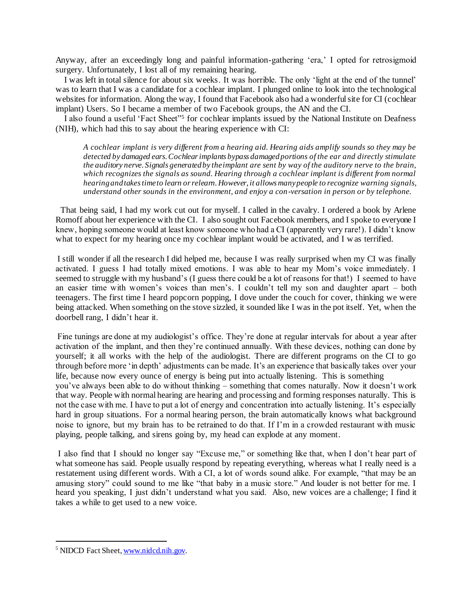Anyway, after an exceedingly long and painful information-gathering 'era,' I opted for retrosigmoid surgery. Unfortunately, I lost all of my remaining hearing.

 I was left in total silence for about six weeks. It was horrible. The only 'light at the end of the tunnel' was to learn that I was a candidate for a cochlear implant. I plunged online to look into the technological websites for information. Along the way, I found that Facebook also had a wonderful site for CI (cochlear implant) Users. So I became a member of two Facebook groups, the AN and the CI.

 I also found a useful 'Fact Sheet"<sup>5</sup> for cochlear implants issued by the National Institute on Deafness (NIH), which had this to say about the hearing experience with CI:

*A cochlear implant is very different from a hearing aid. Hearing aids amplify sounds so they may be detected by damaged ears. Cochlear implants bypass damaged portions of the ear and directly stimulate the auditory nerve. Signals generated by the implant are sent by way of the auditory nerve to the brain, which recognizes the signals as sound. Hearing through a cochlear implant is different from normal hearing and takes time to learn or relearn. However, it allows many people to recognize warning signals, understand other sounds in the environment, and enjoy a con-versation in person or by telephone.*

 That being said, I had my work cut out for myself. I called in the cavalry. I ordered a book by Arlene Romoff about her experience with the CI. I also sought out Facebook members, and I spoke to everyone I knew, hoping someone would at least know someone who had a CI (apparently very rare!). I didn't know what to expect for my hearing once my cochlear implant would be activated, and I was terrified.

I still wonder if all the research I did helped me, because I was really surprised when my CI was finally activated. I guess I had totally mixed emotions. I was able to hear my Mom's voice immediately. I seemed to struggle with my husband's (I guess there could be a lot of reasons for that!) I seemed to have an easier time with women's voices than men's. I couldn't tell my son and daughter apart – both teenagers. The first time I heard popcorn popping, I dove under the couch for cover, thinking we were being attacked. When something on the stove sizzled, it sounded like I was in the pot itself. Yet, when the doorbell rang, I didn't hear it.

Fine tunings are done at my audiologist's office. They're done at regular intervals for about a year after activation of the implant, and then they're continued annually. With these devices, nothing can done by yourself; it all works with the help of the audiologist. There are different programs on the CI to go through before more 'in depth' adjustments can be made. It's an experience that basically takes over your life, because now every ounce of energy is being put into actually listening. This is something you've always been able to do without thinking – something that comes naturally. Now it doesn't work that way. People with normal hearing are hearing and processing and forming responses naturally. This is not the case with me. I have to put a lot of energy and concentration into actually listening. It's especially hard in group situations. For a normal hearing person, the brain automatically knows what background noise to ignore, but my brain has to be retrained to do that. If I'm in a crowded restaurant with music playing, people talking, and sirens going by, my head can explode at any moment.

I also find that I should no longer say "Excuse me," or something like that, when I don't hear part of what someone has said. People usually respond by repeating everything, whereas what I really need is a restatement using different words. With a CI, a lot of words sound alike. For example, "that may be an amusing story" could sound to me like "that baby in a music store." And louder is not better for me. I heard you speaking, I just didn't understand what you said. Also, new voices are a challenge; I find it takes a while to get used to a new voice.

<sup>5</sup> NIDCD Fact Sheet[, www.nidcd.nih.gov](http://www.nidcd.nih.gov/).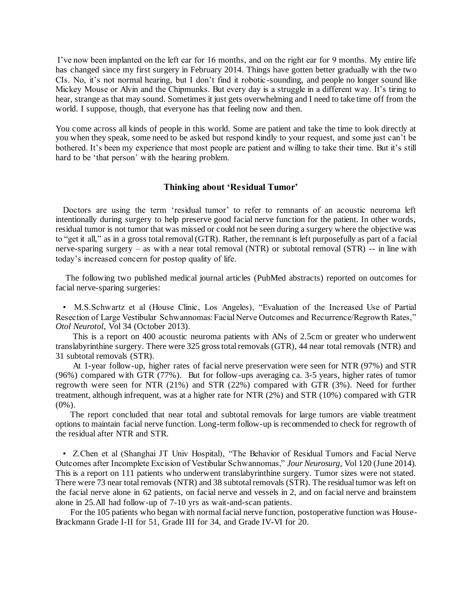I've now been implanted on the left ear for 16 months, and on the right ear for 9 months. My entire life has changed since my first surgery in February 2014. Things have gotten better gradually with the two CIs. No, it's not normal hearing, but I don't find it robotic -sounding, and people no longer sound like Mickey Mouse or Alvin and the Chipmunks. But every day is a struggle in a different way. It's tiring to hear, strange as that may sound. Sometimes it just gets overwhelming and I need to take time off from the world. I suppose, though, that everyone has that feeling now and then.

You come across all kinds of people in this world. Some are patient and take the time to look directly at you when they speak, some need to be asked but respond kindly to your request, and some just can't be bothered. It's been my experience that most people are patient and willing to take their time. But it's still hard to be 'that person' with the hearing problem.

### **Thinking about 'Residual Tumor'**

 Doctors are using the term 'residual tumor' to refer to remnants of an acoustic neuroma left intentionally during surgery to help preserve good facial nerve function for the patient. In other words, residual tumor is not tumor that was missed or could not be seen during a surgery where the objective was to "get it all," as in a gross total removal (GTR). Rather, the remnant is left purposefully as part of a facial nerve-sparing surgery – as with a near total removal (NTR) or subtotal removal (STR) -- in line with today's increased concern for postop quality of life.

 The following two published medical journal articles (PubMed abstracts) reported on outcomes for facial nerve-sparing surgeries:

 • M.S.Schwartz et al (House Clinic, Los Angeles), "Evaluation of the Increased Use of Partial Resection of Large Vestibular Schwannomas: Facial Nerve Outcomes and Recurrence/Regrowth Rates," *Otol Neurotol*, Vol 34 (October 2013).

 This is a report on 400 acoustic neuroma patients with ANs of 2.5cm or greater who underwent translabyrinthine surgery. There were 325 gross total removals (GTR), 44 near total removals (NTR) and 31 subtotal removals (STR).

 At 1-year follow-up, higher rates of facial nerve preservation were seen for NTR (97%) and STR (96%) compared with GTR (77%). But for follow-ups averaging ca. 3-5 years, higher rates of tumor regrowth were seen for NTR (21%) and STR (22%) compared with GTR (3%). Need for further treatment, although infrequent, was at a higher rate for NTR (2%) and STR (10%) compared with GTR  $(0\%)$ .

 The report concluded that near total and subtotal removals for large tumors are viable treatment options to maintain facial nerve function. Long-term follow-up is recommended to check for regrowth of the residual after NTR and STR.

 • Z.Chen et al (Shanghai JT Univ Hospital), "The Behavior of Residual Tumors and Facial Nerve Outcomes after Incomplete Excision of Vestibular Schwannomas," *Jour Neurosurg*, Vol 120 (June 2014). This is a report on 111 patients who underwent translabyrinthine surgery. Tumor sizes were not stated. There were 73 near total removals (NTR) and 38 subtotal removals (STR). The residual tumor was left on the facial nerve alone in 62 patients, on facial nerve and vessels in 2, and on facial nerve and brainstem alone in 25.All had follow-up of 7-10 yrs as wait-and-scan patients.

 For the 105 patients who began with normal facial nerve function, postoperative function was House-Brackmann Grade I-II for 51, Grade III for 34, and Grade IV-VI for 20.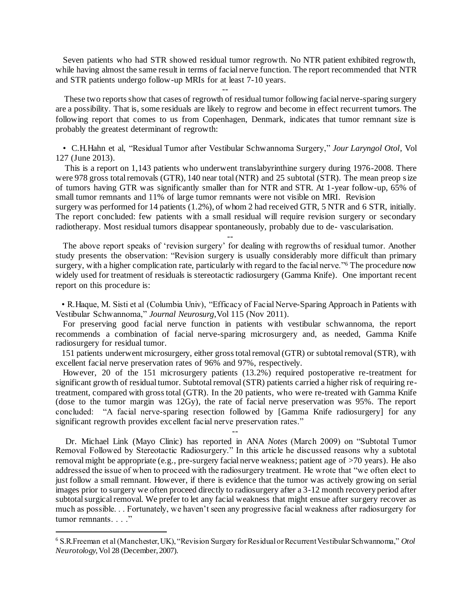Seven patients who had STR showed residual tumor regrowth. No NTR patient exhibited regrowth, while having almost the same result in terms of facial nerve function. The report recommended that NTR and STR patients undergo follow-up MRIs for at least 7-10 years.

--

--

--

l

 These two reports show that cases of regrowth of residual tumor following facial nerve-sparing surgery are a possibility. That is, some residuals are likely to regrow and become in effect recurrent tumors. The following report that comes to us from Copenhagen, Denmark, indicates that tumor remnant size is probably the greatest determinant of regrowth:

 • C.H.Hahn et al, "Residual Tumor after Vestibular Schwannoma Surgery," *Jour Laryngol Otol*, Vol 127 (June 2013).

 This is a report on 1,143 patients who underwent translabyrinthine surgery during 1976-2008. There were 978 gross total removals (GTR), 140 near total (NTR) and 25 subtotal (STR). The mean preop size of tumors having GTR was significantly smaller than for NTR and STR. At 1-year follow-up, 65% of small tumor remnants and 11% of large tumor remnants were not visible on MRI. Revision surgery was performed for 14 patients (1.2%), of whom 2 had received GTR, 5 NTR and 6 STR, initially. The report concluded: few patients with a small residual will require revision surgery or secondary radiotherapy. Most residual tumors disappear spontaneously, probably due to de- vascularisation.

 The above report speaks of 'revision surgery' for dealing with regrowths of residual tumor. Another study presents the observation: "Revision surgery is usually considerably more difficult than primary surgery, with a higher complication rate, particularly with regard to the facial nerve."<sup>6</sup> The procedure now widely used for treatment of residuals is stereotactic radiosurgery (Gamma Knife). One important recent report on this procedure is:

 • R.Haque, M. Sisti et al (Columbia Univ), "Efficacy of Facial Nerve-Sparing Approach in Patients with Vestibular Schwannoma," *Journal Neurosurg*,Vol 115 (Nov 2011).

 For preserving good facial nerve function in patients with vestibular schwannoma, the report recommends a combination of facial nerve-sparing microsurgery and, as needed, Gamma Knife radiosurgery for residual tumor.

 151 patients underwent microsurgery, either gross total removal (GTR) or subtotal removal (STR), with excellent facial nerve preservation rates of 96% and 97%, respectively.

 However, 20 of the 151 microsurgery patients (13.2%) required postoperative re-treatment for significant growth of residual tumor. Subtotal removal (STR) patients carried a higher risk of requiring retreatment, compared with gross total (GTR). In the 20 patients, who were re-treated with Gamma Knife (dose to the tumor margin was 12Gy), the rate of facial nerve preservation was 95%. The report concluded: "A facial nerve-sparing resection followed by [Gamma Knife radiosurgery] for any significant regrowth provides excellent facial nerve preservation rates."

 Dr. Michael Link (Mayo Clinic) has reported in ANA *Notes* (March 2009) on "Subtotal Tumor Removal Followed by Stereotactic Radiosurgery." In this article he discussed reasons why a subtotal removal might be appropriate (e.g., pre-surgery facial nerve weakness; patient age of >70 years). He also addressed the issue of when to proceed with the radiosurgery treatment. He wrote that "we often elect to just follow a small remnant. However, if there is evidence that the tumor was actively growing on serial images prior to surgery we often proceed directly to radiosurgery after a 3-12 month recovery period after subtotal surgical removal. We prefer to let any facial weakness that might ensue after surgery recover as much as possible. . . Fortunately, we haven't seen any progressive facial weakness after radiosurgery for tumor remnants. . . . . "

<sup>6</sup> S.R.Freeman et al (Manchester, UK), "Revision Surgery for Residual or Recurrent Vestibular Schwannoma," *Otol Neurotology*, Vol 28 (December, 2007).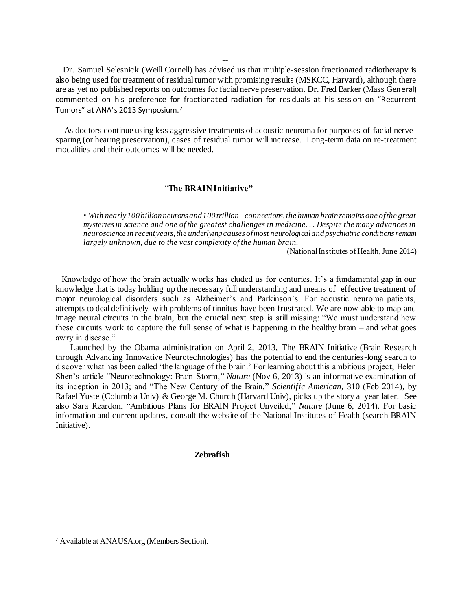Dr. Samuel Selesnick (Weill Cornell) has advised us that multiple-session fractionated radiotherapy is also being used for treatment of residual tumor with promising results (MSKCC, Harvard), although there are as yet no published reports on outcomes for facial nerve preservation. Dr. Fred Barker (Mass General) commented on his preference for fractionated radiation for residuals at his session on "Recurrent Tumors" at ANA's 2013 Symposium.<sup>7</sup>

 As doctors continue using less aggressive treatments of acoustic neuroma for purposes of facial nervesparing (or hearing preservation), cases of residual tumor will increase. Long-term data on re-treatment modalities and their outcomes will be needed.

## "**The BRAIN Initiative"**

▪ *With nearly 100 billion neurons and 100 trillion connections, the human brain remains one of the great mysteries in science and one of the greatest challenges in medicine. . . Despite the many advances in neuroscience in recent years, the underlying causes of most neurological and psychiatric conditions remain largely unknown, due to the vast complexity of the human brain.*

(National Institutes of Health, June 2014)

 Knowledge of how the brain actually works has eluded us for centuries. It's a fundamental gap in our knowledge that is today holding up the necessary full understanding and means of effective treatment of major neurological disorders such as Alzheimer's and Parkinson's. For acoustic neuroma patients, attempts to deal definitively with problems of tinnitus have been frustrated. We are now able to map and image neural circuits in the brain, but the crucial next step is still missing: "We must understand how these circuits work to capture the full sense of what is happening in the healthy brain – and what goes awry in disease."

 Launched by the Obama administration on April 2, 2013, The BRAIN Initiative (Brain Research through Advancing Innovative Neurotechnologies) has the potential to end the centuries-long search to discover what has been called 'the language of the brain.' For learning about this ambitious project, Helen Shen's article "Neurotechnology: Brain Storm," *Nature* (Nov 6, 2013) is an informative examination of its inception in 2013; and "The New Century of the Brain," *Scientific American*, 310 (Feb 2014), by Rafael Yuste (Columbia Univ) & George M. Church (Harvard Univ), picks up the story a year later. See also Sara Reardon, "Ambitious Plans for BRAIN Project Unveiled," *Nature* (June 6, 2014). For basic information and current updates, consult the website of the National Institutes of Health (search BRAIN Initiative).

**Zebrafish** 

l

--

<sup>&</sup>lt;sup>7</sup> Available at ANAUSA.org (Members Section).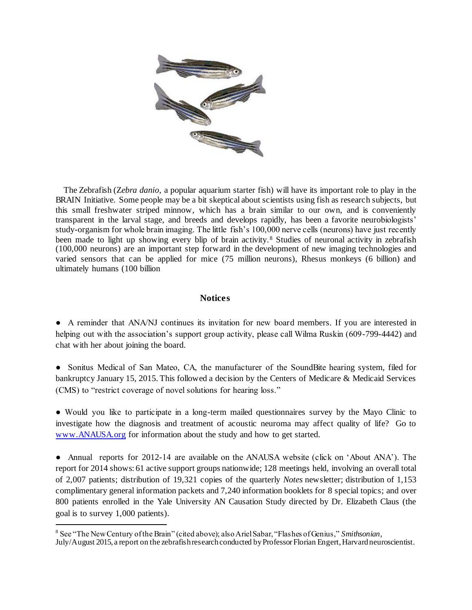

 The Zebrafish (Z*ebra danio*, a popular aquarium starter fish) will have its important role to play in the BRAIN Initiative. Some people may be a bit skeptical about scientists using fish as research subjects, but this small freshwater striped minnow, which has a brain similar to our own, and is conveniently transparent in the larval stage, and breeds and develops rapidly, has been a favorite neurobiologists' study-organism for whole brain imaging. The little fish's 100,000 nerve cells (neurons) have just recently been made to light up showing every blip of brain activity.<sup>8</sup> Studies of neuronal activity in zebrafish (100,000 neurons) are an important step forward in the development of new imaging technologies and varied sensors that can be applied for mice (75 million neurons), Rhesus monkeys (6 billion) and ultimately humans (100 billion

# **Notices**

● A reminder that ANA/NJ continues its invitation for new board members. If you are interested in helping out with the association's support group activity, please call Wilma Ruskin (609-799-4442) and chat with her about joining the board.

• Sonitus Medical of San Mateo, CA, the manufacturer of the SoundBite hearing system, filed for bankruptcy January 15, 2015. This followed a decision by the Centers of Medicare & Medicaid Services (CMS) to "restrict coverage of novel solutions for hearing loss."

● Would you like to participate in a long-term mailed questionnaires survey by the Mayo Clinic to investigate how the diagnosis and treatment of acoustic neuroma may affect quality of life? Go to [www.ANAUSA.org](http://www.anausa.org/) for information about the study and how to get started.

● Annual reports for 2012-14 are available on the ANAUSA website (click on 'About ANA'). The report for 2014 shows: 61 active support groups nationwide; 128 meetings held, involving an overall total of 2,007 patients; distribution of 19,321 copies of the quarterly *Notes* newsletter; distribution of 1,153 complimentary general information packets and 7,240 information booklets for 8 special topics; and over 800 patients enrolled in the Yale University AN Causation Study directed by Dr. Elizabeth Claus (the goal is to survey 1,000 patients).

<sup>8</sup> See "The New Century of the Brain" (cited above); also Ariel Sabar, "Flashes of Genius," *Smithsonian*, July/August 2015, a report on the zebrafish research conducted by Professor Florian Engert, Harvard neuroscientist.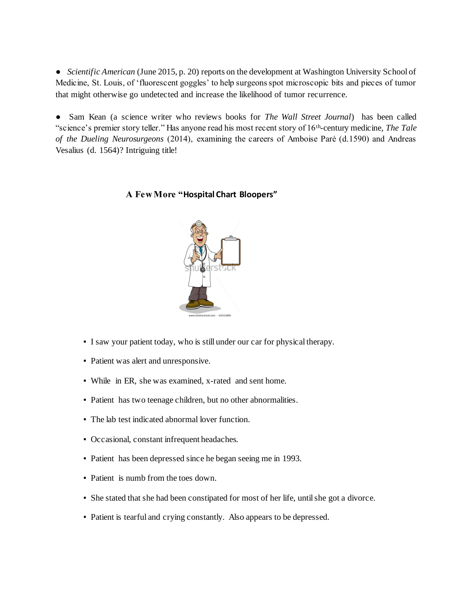● *Scientific American* (June 2015, p. 20) reports on the development at Washington University School of Medicine, St. Louis, of 'fluorescent goggles' to help surgeons spot microscopic bits and pieces of tumor that might otherwise go undetected and increase the likelihood of tumor recurrence.

● Sam Kean (a science writer who reviews books for *The Wall Street Journal*) has been called "science's premier story teller." Has anyone read his most recent story of 16th -century medicine, *The Tale of the Dueling Neurosurgeons* (2014), examining the careers of Amboise Parė (d.1590) and Andreas Vesalius (d. 1564)? Intriguing title!

# **A Few More "Hospital Chart Bloopers"**



- I saw your patient today, who is still under our car for physical therapy.
- Patient was alert and unresponsive.
- While in ER, she was examined, x-rated and sent home.
- Patient has two teenage children, but no other abnormalities.
- The lab test indicated abnormal lover function.
- Occasional, constant infrequent headaches.
- Patient has been depressed since he began seeing me in 1993.
- Patient is numb from the toes down.
- She stated that she had been constipated for most of her life, until she got a divorce.
- Patient is tearful and crying constantly. Also appears to be depressed.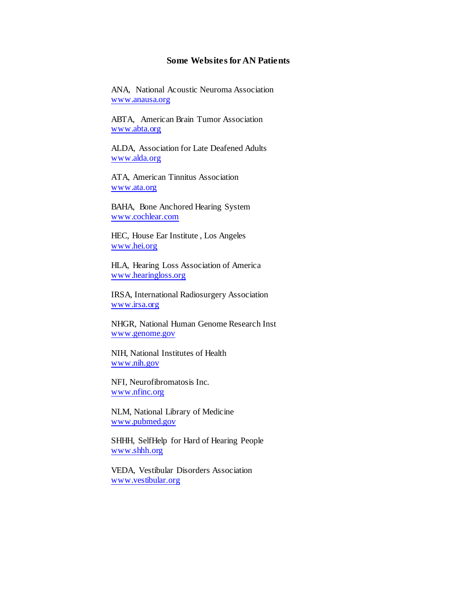## **Some Websites for AN Patients**

ANA, National Acoustic Neuroma Association [www.anausa.org](http://www.anausa.org/)

ABTA, American Brain Tumor Association [www.abta.org](http://www.abta.org/)

ALDA, Association for Late Deafened Adults [www.alda.org](http://www.alda.org/)

ATA, American Tinnitus Association [www.ata.org](http://www.ata.org/)

BAHA, Bone Anchored Hearing System [www.cochlear.com](http://www.cochlear.com/)

HEC, House Ear Institute , Los Angeles [www.hei.org](http://www.hei.org/)

HLA, Hearing Loss Association of America [www.hearingloss.org](http://www.hearingloss.org/)

IRSA, International Radiosurgery Association [www.irsa.org](http://www.irsa.org/)

NHGR, National Human Genome Research Inst [www.genome.gov](http://www.genome.gov/)

NIH, National Institutes of Health [www.nih.gov](http://www.nih.gov/)

NFI, Neurofibromatosis Inc. [www.nfinc.org](http://www.nfinc.org/)

NLM, National Library of Medicine [www.pubmed.gov](http://www.pubmed.gov/)

SHHH, SelfHelp for Hard of Hearing People [www.shhh.org](http://www.shhh.org/)

VEDA, Vestibular Disorders Association [www.vestibular.org](http://www.vestibular.org/)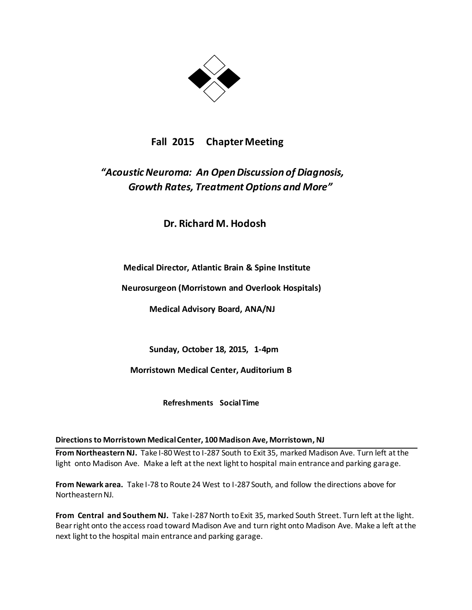

# **Fall 2015 Chapter Meeting**

# *"Acoustic Neuroma: An Open Discussion of Diagnosis, Growth Rates, Treatment Options and More"*

**Dr. Richard M. Hodosh**

**Medical Director, Atlantic Brain & Spine Institute**

 **Neurosurgeon (Morristown and Overlook Hospitals)**

 **Medical Advisory Board, ANA/NJ**

 **Sunday, October 18, 2015, 1-4pm**

 **Morristown Medical Center, Auditorium B**

 **Refreshments Social Time**

# **Directions to Morristown Medical Center, 100 Madison Ave, Morristown, NJ**

**From Northeastern NJ.** Take I-80 West to I-287 South to Exit 35, marked Madison Ave. Turn left at the light onto Madison Ave. Make a left at the next light to hospital main entrance and parking garage.

**From Newark area.** Take I-78 to Route 24 West to I-287 South, and follow the directions above for Northeastern NJ.

**From Central and Southern NJ.** Take I-287 North to Exit 35, marked South Street. Turn left at the light. Bear right onto the access road toward Madison Ave and turn right onto Madison Ave. Make a left at the next light to the hospital main entrance and parking garage.